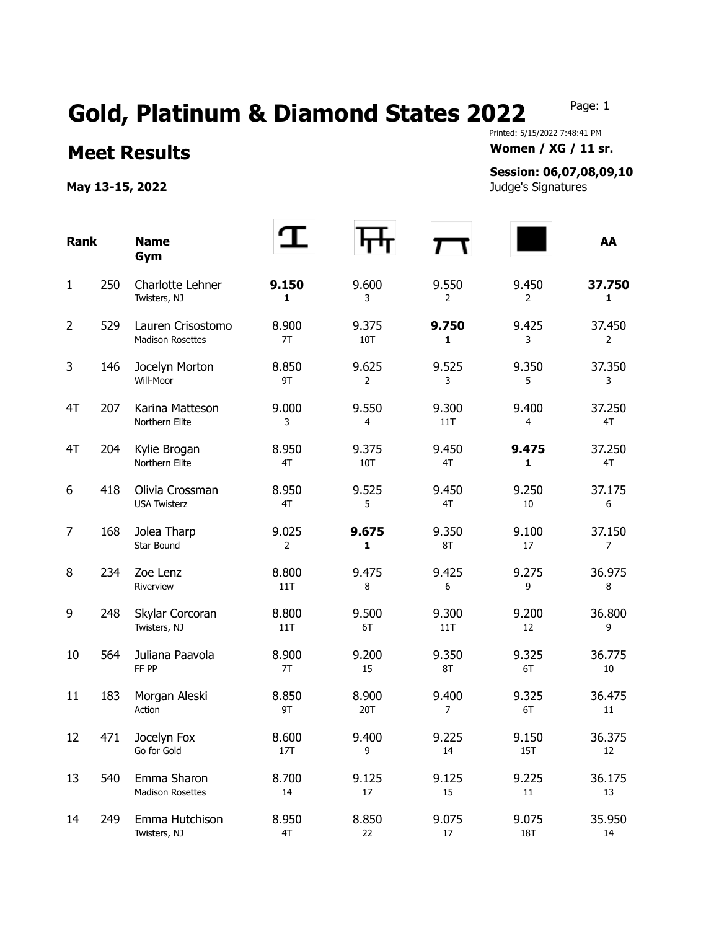## Gold, Platinum & Diamond States 2022 Page: 1

**Meet Results Women / XG / 11 sr.** 

May 13-15, 2022 **May 13-15, 2022 Judge's Signatures** 

Printed: 5/15/2022 7:48:41 PM

## **Session: 06,07,08,09,10**

| <b>Rank</b>    |     | <b>Name</b><br>Gym                           |                         |                         |              |                         | AA                     |
|----------------|-----|----------------------------------------------|-------------------------|-------------------------|--------------|-------------------------|------------------------|
| $\mathbf{1}$   | 250 | Charlotte Lehner<br>Twisters, NJ             | 9.150<br>1              | 9.600<br>3              | 9.550<br>2   | 9.450<br>$\overline{2}$ | 37.750<br>$\mathbf{1}$ |
| $\overline{2}$ | 529 | Lauren Crisostomo<br><b>Madison Rosettes</b> | 8.900<br>7T             | 9.375<br>10T            | 9.750<br>1   | 9.425<br>3              | 37.450<br>2            |
| 3              | 146 | Jocelyn Morton<br>Will-Moor                  | 8.850<br>9T             | 9.625<br>$\overline{2}$ | 9.525<br>3   | 9.350<br>5              | 37.350<br>3            |
| 4T             | 207 | Karina Matteson<br>Northern Elite            | 9.000<br>3              | 9.550<br>4              | 9.300<br>11T | 9.400<br>4              | 37.250<br>4T           |
| 4T             | 204 | Kylie Brogan<br>Northern Elite               | 8.950<br>4T             | 9.375<br>10T            | 9.450<br>4T  | 9.475<br>1              | 37.250<br>4T           |
| 6              | 418 | Olivia Crossman<br><b>USA Twisterz</b>       | 8.950<br>4T             | 9.525<br>5              | 9.450<br>4T  | 9.250<br>10             | 37.175<br>6            |
| $\overline{7}$ | 168 | Jolea Tharp<br>Star Bound                    | 9.025<br>$\overline{2}$ | 9.675<br>1              | 9.350<br>8T  | 9.100<br>17             | 37.150<br>7            |
| 8              | 234 | Zoe Lenz<br>Riverview                        | 8.800<br>11T            | 9.475<br>8              | 9.425<br>6   | 9.275<br>9              | 36.975<br>8            |
| 9              | 248 | Skylar Corcoran<br>Twisters, NJ              | 8.800<br>11T            | 9.500<br>6T             | 9.300<br>11T | 9.200<br>12             | 36.800<br>9            |
| 10             | 564 | Juliana Paavola<br>FF PP                     | 8.900<br>7T             | 9.200<br>15             | 9.350<br>8T  | 9.325<br>6T             | 36.775<br>10           |
| 11             | 183 | Morgan Aleski<br>Action                      | 8.850<br>9T             | 8.900<br>20T            | 9.400<br>7   | 9.325<br>6T             | 36.475<br>11           |
| 12             | 471 | Jocelyn Fox<br>Go for Gold                   | 8.600<br>17T            | 9.400<br>9              | 9.225<br>14  | 9.150<br><b>15T</b>     | 36.375<br>12           |
| 13             | 540 | Emma Sharon<br>Madison Rosettes              | 8.700<br>14             | 9.125<br>$17\,$         | 9.125<br>15  | 9.225<br>$11\,$         | 36.175<br>13           |
| 14             | 249 | Emma Hutchison<br>Twisters, NJ               | 8.950<br>4T             | 8.850<br>22             | 9.075<br>17  | 9.075<br><b>18T</b>     | 35.950<br>14           |